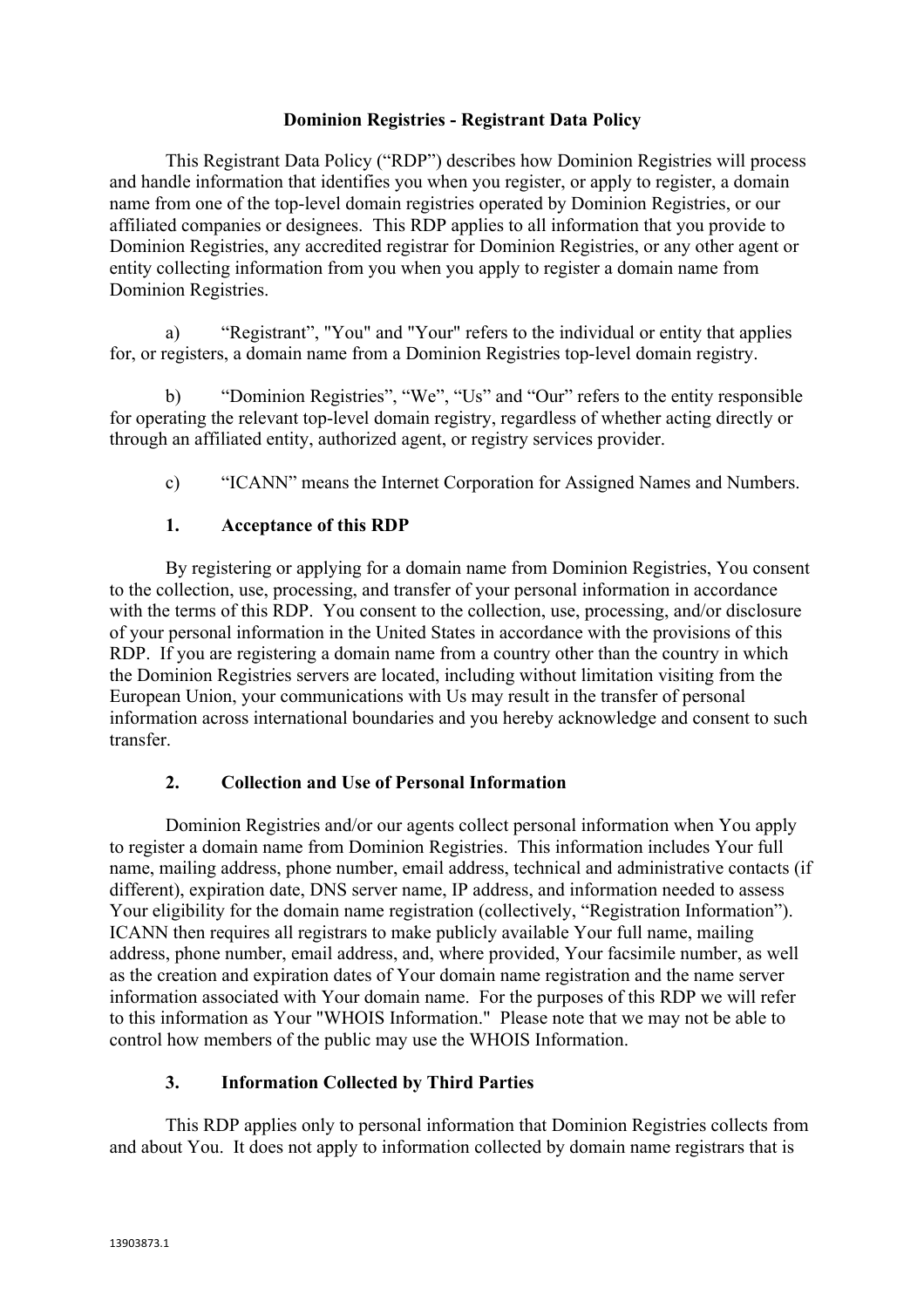#### **Dominion Registries - Registrant Data Policy**

This Registrant Data Policy ("RDP") describes how Dominion Registries will process and handle information that identifies you when you register, or apply to register, a domain name from one of the top-level domain registries operated by Dominion Registries, or our affiliated companies or designees. This RDP applies to all information that you provide to Dominion Registries, any accredited registrar for Dominion Registries, or any other agent or entity collecting information from you when you apply to register a domain name from Dominion Registries.

a) "Registrant", "You" and "Your" refers to the individual or entity that applies for, or registers, a domain name from a Dominion Registries top-level domain registry.

b) "Dominion Registries", "We", "Us" and "Our" refers to the entity responsible for operating the relevant top-level domain registry, regardless of whether acting directly or through an affiliated entity, authorized agent, or registry services provider.

c) "ICANN" means the Internet Corporation for Assigned Names and Numbers.

### **1. Acceptance of this RDP**

By registering or applying for a domain name from Dominion Registries, You consent to the collection, use, processing, and transfer of your personal information in accordance with the terms of this RDP. You consent to the collection, use, processing, and/or disclosure of your personal information in the United States in accordance with the provisions of this RDP. If you are registering a domain name from a country other than the country in which the Dominion Registries servers are located, including without limitation visiting from the European Union, your communications with Us may result in the transfer of personal information across international boundaries and you hereby acknowledge and consent to such transfer.

### **2. Collection and Use of Personal Information**

Dominion Registries and/or our agents collect personal information when You apply to register a domain name from Dominion Registries. This information includes Your full name, mailing address, phone number, email address, technical and administrative contacts (if different), expiration date, DNS server name, IP address, and information needed to assess Your eligibility for the domain name registration (collectively, "Registration Information"). ICANN then requires all registrars to make publicly available Your full name, mailing address, phone number, email address, and, where provided, Your facsimile number, as well as the creation and expiration dates of Your domain name registration and the name server information associated with Your domain name. For the purposes of this RDP we will refer to this information as Your "WHOIS Information." Please note that we may not be able to control how members of the public may use the WHOIS Information.

### **3. Information Collected by Third Parties**

This RDP applies only to personal information that Dominion Registries collects from and about You. It does not apply to information collected by domain name registrars that is